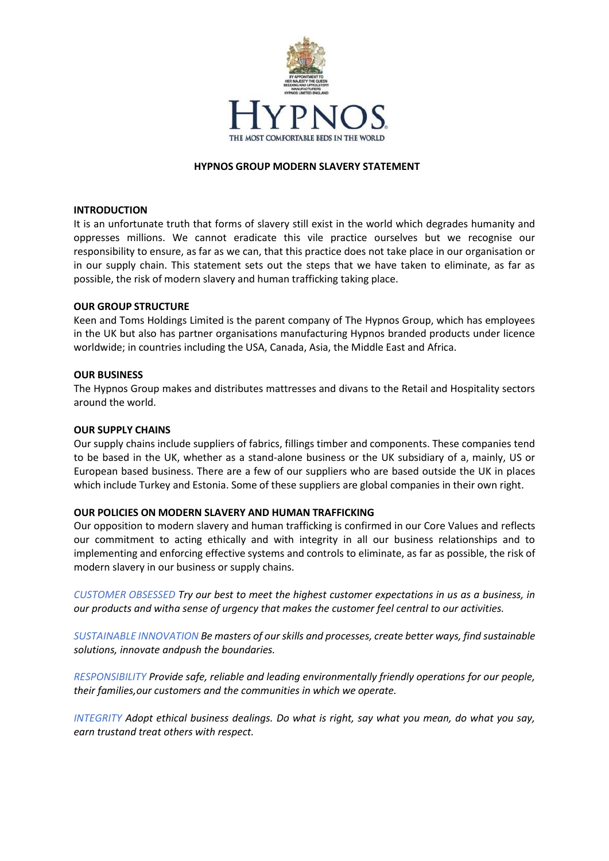

## **HYPNOS GROUP MODERN SLAVERY STATEMENT**

#### **INTRODUCTION**

It is an unfortunate truth that forms of slavery still exist in the world which degrades humanity and oppresses millions. We cannot eradicate this vile practice ourselves but we recognise our responsibility to ensure, as far as we can, that this practice does not take place in our organisation or in our supply chain. This statement sets out the steps that we have taken to eliminate, as far as possible, the risk of modern slavery and human trafficking taking place.

## **OUR GROUP STRUCTURE**

Keen and Toms Holdings Limited is the parent company of The Hypnos Group, which has employees in the UK but also has partner organisations manufacturing Hypnos branded products under licence worldwide; in countries including the USA, Canada, Asia, the Middle East and Africa.

## **OUR BUSINESS**

The Hypnos Group makes and distributes mattresses and divans to the Retail and Hospitality sectors around the world.

#### **OUR SUPPLY CHAINS**

Our supply chains include suppliers of fabrics, fillings timber and components. These companies tend to be based in the UK, whether as a stand-alone business or the UK subsidiary of a, mainly, US or European based business. There are a few of our suppliers who are based outside the UK in places which include Turkey and Estonia. Some of these suppliers are global companies in their own right.

#### **OUR POLICIES ON MODERN SLAVERY AND HUMAN TRAFFICKING**

Our opposition to modern slavery and human trafficking is confirmed in our Core Values and reflects our commitment to acting ethically and with integrity in all our business relationships and to implementing and enforcing effective systems and controls to eliminate, as far as possible, the risk of modern slavery in our business or supply chains.

*CUSTOMER OBSESSED Try our best to meet the highest customer expectations in us as a business, in our products and witha sense of urgency that makes the customer feel central to our activities.*

*SUSTAINABLE INNOVATION Be masters of our skills and processes, create better ways, find sustainable solutions, innovate andpush the boundaries.*

*RESPONSIBILITY Provide safe, reliable and leading environmentally friendly operations for our people, their families,our customers and the communities in which we operate.*

*INTEGRITY Adopt ethical business dealings. Do what is right, say what you mean, do what you say, earn trustand treat others with respect.*